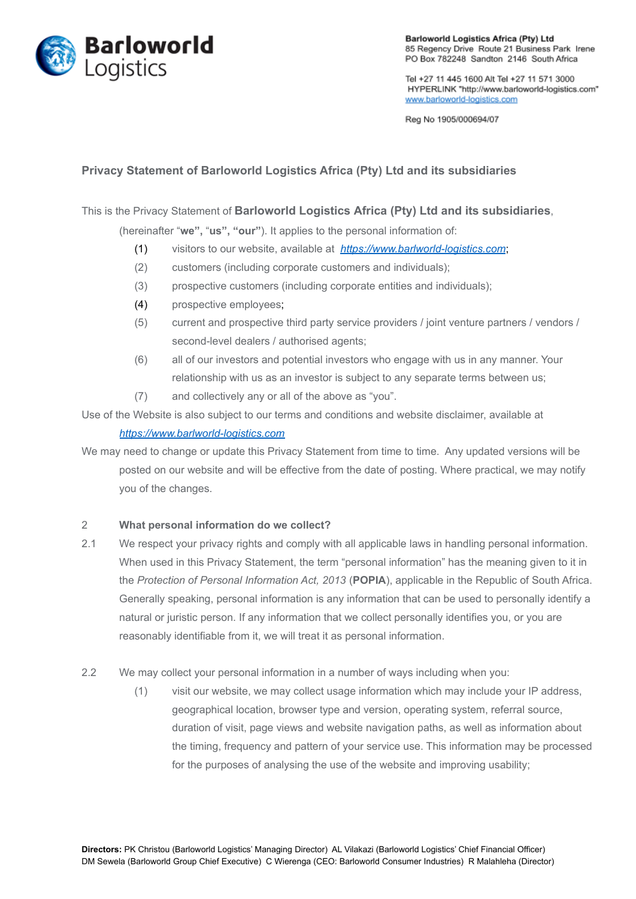

**Barloworld Logistics Africa (Pty) Ltd** 85 Regency Drive Route 21 Business Park Irene PO Box 782248 Sandton 2146 South Africa

Tel +27 11 445 1600 Alt Tel +27 11 571 3000 HYPERLINK "http://www.barloworld-logistics.com" www.barloworld-logistics.com

Reg No 1905/000694/07

# **Privacy Statement of Barloworld Logistics Africa (Pty) Ltd and its subsidiaries**

This is the Privacy Statement of **Barloworld Logistics Africa (Pty) Ltd and its subsidiaries**,

(hereinafter "**we",** "**us", "our"**). It applies to the personal information of:

- (1) visitors to our website, available at *[https://www.barlworld-logistics.com](https://www.barlworld-logistics.com/)*;
- (2) customers (including corporate customers and individuals);
- (3) prospective customers (including corporate entities and individuals);
- (4) prospective employees;
- (5) current and prospective third party service providers / joint venture partners / vendors / second-level dealers / authorised agents;
- (6) all of our investors and potential investors who engage with us in any manner. Your relationship with us as an investor is subject to any separate terms between us;
- (7) and collectively any or all of the above as "you".

Use of the Website is also subject to our terms and conditions and website disclaimer, available at

## *[https://www.barlworld-logistics.com](https://www.barlworld-logistics.com/)*

We may need to change or update this Privacy Statement from time to time. Any updated versions will be posted on our website and will be effective from the date of posting. Where practical, we may notify you of the changes.

#### 2 **What personal information do we collect?**

- 2.1 We respect your privacy rights and comply with all applicable laws in handling personal information. When used in this Privacy Statement, the term "personal information" has the meaning given to it in the *Protection of Personal Information Act, 2013* (**POPIA**), applicable in the Republic of South Africa. Generally speaking, personal information is any information that can be used to personally identify a natural or juristic person. If any information that we collect personally identifies you, or you are reasonably identifiable from it, we will treat it as personal information.
- 2.2 We may collect your personal information in a number of ways including when you:
	- (1) visit our website, we may collect usage information which may include your IP address, geographical location, browser type and version, operating system, referral source, duration of visit, page views and website navigation paths, as well as information about the timing, frequency and pattern of your service use. This information may be processed for the purposes of analysing the use of the website and improving usability;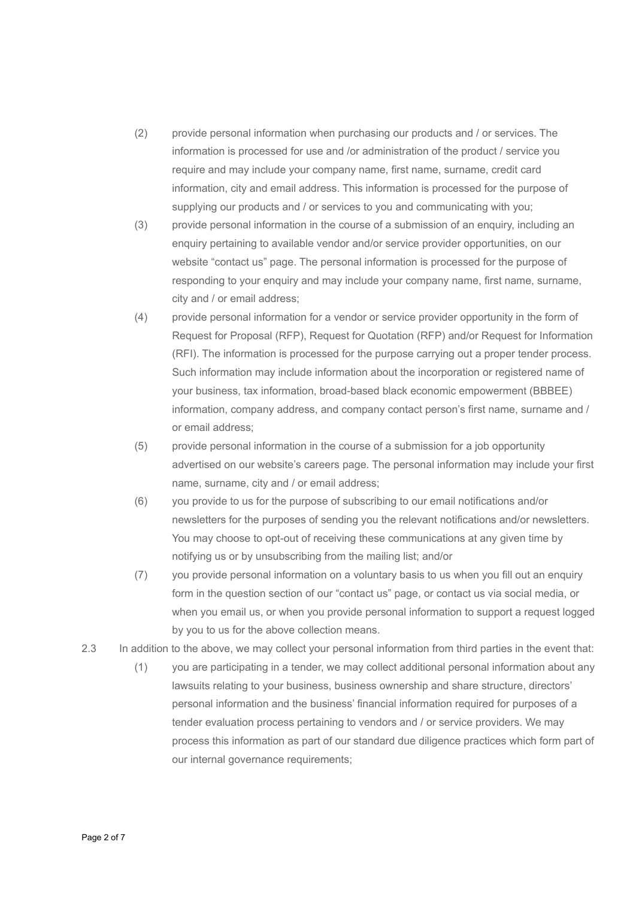- (2) provide personal information when purchasing our products and / or services. The information is processed for use and /or administration of the product / service you require and may include your company name, first name, surname, credit card information, city and email address. This information is processed for the purpose of supplying our products and / or services to you and communicating with you;
- (3) provide personal information in the course of a submission of an enquiry, including an enquiry pertaining to available vendor and/or service provider opportunities, on our website "contact us" page. The personal information is processed for the purpose of responding to your enquiry and may include your company name, first name, surname, city and / or email address;
- (4) provide personal information for a vendor or service provider opportunity in the form of Request for Proposal (RFP), Request for Quotation (RFP) and/or Request for Information (RFI). The information is processed for the purpose carrying out a proper tender process. Such information may include information about the incorporation or registered name of your business, tax information, broad-based black economic empowerment (BBBEE) information, company address, and company contact person's first name, surname and / or email address;
- (5) provide personal information in the course of a submission for a job opportunity advertised on our website's careers page. The personal information may include your first name, surname, city and / or email address;
- (6) you provide to us for the purpose of subscribing to our email notifications and/or newsletters for the purposes of sending you the relevant notifications and/or newsletters. You may choose to opt-out of receiving these communications at any given time by notifying us or by unsubscribing from the mailing list; and/or
- (7) you provide personal information on a voluntary basis to us when you fill out an enquiry form in the question section of our "contact us" page, or contact us via social media, or when you email us, or when you provide personal information to support a request logged by you to us for the above collection means.
- 2.3 In addition to the above, we may collect your personal information from third parties in the event that:
	- (1) you are participating in a tender, we may collect additional personal information about any lawsuits relating to your business, business ownership and share structure, directors' personal information and the business' financial information required for purposes of a tender evaluation process pertaining to vendors and / or service providers. We may process this information as part of our standard due diligence practices which form part of our internal governance requirements;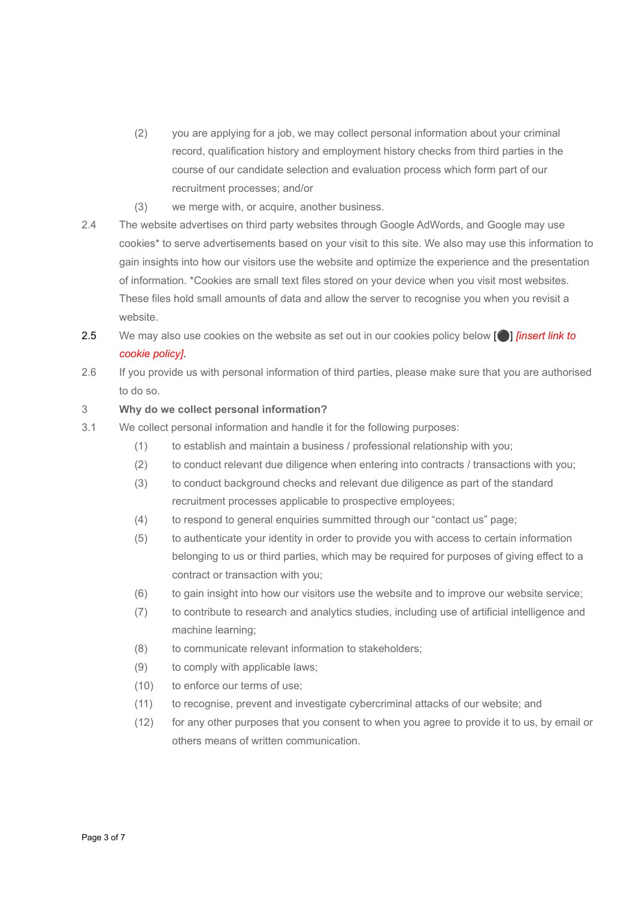- (2) you are applying for a job, we may collect personal information about your criminal record, qualification history and employment history checks from third parties in the course of our candidate selection and evaluation process which form part of our recruitment processes; and/or
- (3) we merge with, or acquire, another business.
- 2.4 The website advertises on third party websites through Google AdWords, and Google may use cookies\* to serve advertisements based on your visit to this site. We also may use this information to gain insights into how our visitors use the website and optimize the experience and the presentation of information. \*Cookies are small text files stored on your device when you visit most websites. These files hold small amounts of data and allow the server to recognise you when you revisit a website.
- 2.5 We may also use cookies on the website as set out in our cookies policy below [⚫] *[insert link to cookie policy]*.
- 2.6 If you provide us with personal information of third parties, please make sure that you are authorised to do so.

## 3 **Why do we collect personal information?**

- 3.1 We collect personal information and handle it for the following purposes:
	- (1) to establish and maintain a business / professional relationship with you;
	- (2) to conduct relevant due diligence when entering into contracts / transactions with you;
	- (3) to conduct background checks and relevant due diligence as part of the standard recruitment processes applicable to prospective employees;
	- (4) to respond to general enquiries summitted through our "contact us" page;
	- (5) to authenticate your identity in order to provide you with access to certain information belonging to us or third parties, which may be required for purposes of giving effect to a contract or transaction with you;
	- (6) to gain insight into how our visitors use the website and to improve our website service;
	- (7) to contribute to research and analytics studies, including use of artificial intelligence and machine learning;
	- (8) to communicate relevant information to stakeholders;
	- (9) to comply with applicable laws;
	- (10) to enforce our terms of use;
	- (11) to recognise, prevent and investigate cybercriminal attacks of our website; and
	- (12) for any other purposes that you consent to when you agree to provide it to us, by email or others means of written communication.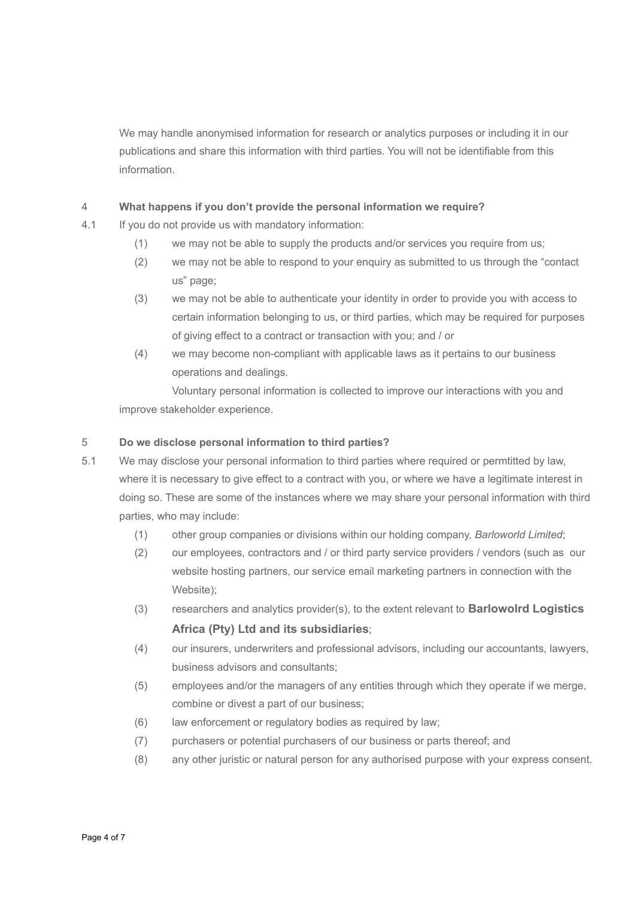We may handle anonymised information for research or analytics purposes or including it in our publications and share this information with third parties. You will not be identifiable from this information.

## 4 **What happens if you don't provide the personal information we require?**

- 4.1 If you do not provide us with mandatory information:
	- (1) we may not be able to supply the products and/or services you require from us;
	- (2) we may not be able to respond to your enquiry as submitted to us through the "contact us" page;
	- (3) we may not be able to authenticate your identity in order to provide you with access to certain information belonging to us, or third parties, which may be required for purposes of giving effect to a contract or transaction with you; and / or
	- (4) we may become non-compliant with applicable laws as it pertains to our business operations and dealings.

Voluntary personal information is collected to improve our interactions with you and improve stakeholder experience.

## 5 **Do we disclose personal information to third parties?**

- 5.1 We may disclose your personal information to third parties where required or permtitted by law, where it is necessary to give effect to a contract with you, or where we have a legitimate interest in doing so. These are some of the instances where we may share your personal information with third parties, who may include:
	- (1) other group companies or divisions within our holding company, *Barloworld Limited*;
	- (2) our employees, contractors and / or third party service providers / vendors (such as our website hosting partners, our service email marketing partners in connection with the Website);
	- (3) researchers and analytics provider(s), to the extent relevant to **Barlowolrd Logistics Africa (Pty) Ltd and its subsidiaries**;
	- (4) our insurers, underwriters and professional advisors, including our accountants, lawyers, business advisors and consultants;
	- (5) employees and/or the managers of any entities through which they operate if we merge, combine or divest a part of our business;
	- (6) law enforcement or regulatory bodies as required by law;
	- (7) purchasers or potential purchasers of our business or parts thereof; and
	- (8) any other juristic or natural person for any authorised purpose with your express consent.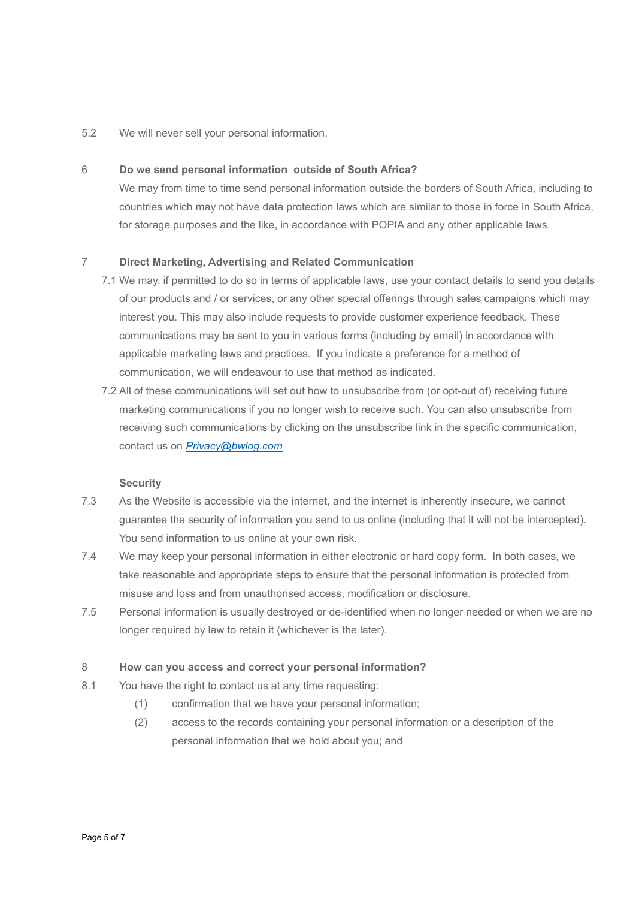#### 5.2 We will never sell your personal information.

### 6 **Do we send personal information outside of South Africa?**

We may from time to time send personal information outside the borders of South Africa, including to countries which may not have data protection laws which are similar to those in force in South Africa, for storage purposes and the like, in accordance with POPIA and any other applicable laws.

#### 7 **Direct Marketing, Advertising and Related Communication**

- 7.1 We may, if permitted to do so in terms of applicable laws, use your contact details to send you details of our products and / or services, or any other special offerings through sales campaigns which may interest you. This may also include requests to provide customer experience feedback. These communications may be sent to you in various forms (including by email) in accordance with applicable marketing laws and practices. If you indicate a preference for a method of communication, we will endeavour to use that method as indicated.
- 7.2 All of these communications will set out how to unsubscribe from (or opt-out of) receiving future marketing communications if you no longer wish to receive such. You can also unsubscribe from receiving such communications by clicking on the unsubscribe link in the specific communication, contact us on *[Privacy@bwlog.com](mailto:Privacy@bwlog.com)*

#### **Security**

- 7.3 As the Website is accessible via the internet, and the internet is inherently insecure, we cannot guarantee the security of information you send to us online (including that it will not be intercepted). You send information to us online at your own risk.
- 7.4 We may keep your personal information in either electronic or hard copy form. In both cases, we take reasonable and appropriate steps to ensure that the personal information is protected from misuse and loss and from unauthorised access, modification or disclosure.
- 7.5 Personal information is usually destroyed or de-identified when no longer needed or when we are no longer required by law to retain it (whichever is the later).

#### 8 **How can you access and correct your personal information?**

- 8.1 You have the right to contact us at any time requesting:
	- (1) confirmation that we have your personal information;
	- (2) access to the records containing your personal information or a description of the personal information that we hold about you; and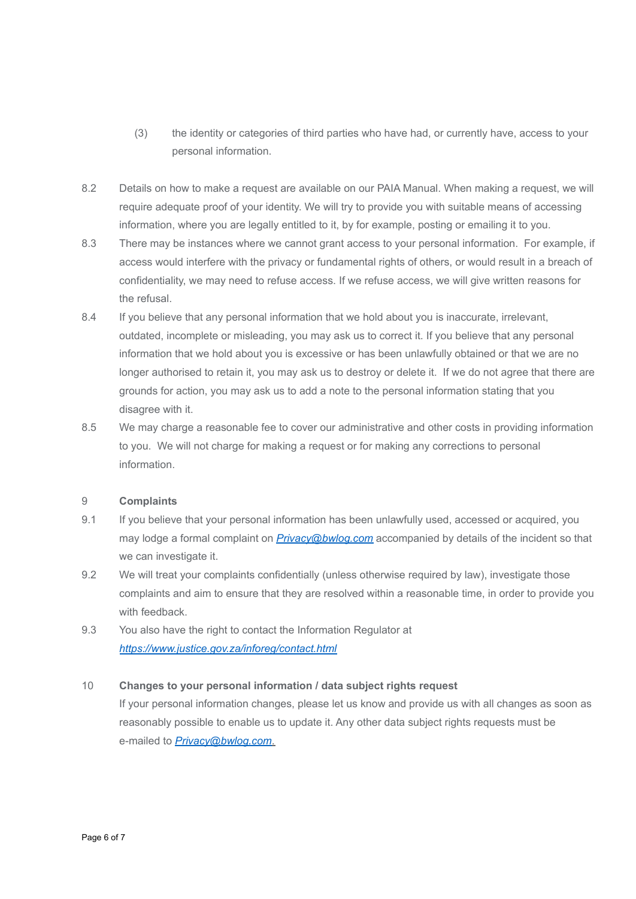- (3) the identity or categories of third parties who have had, or currently have, access to your personal information.
- 8.2 Details on how to make a request are available on our PAIA Manual. When making a request, we will require adequate proof of your identity. We will try to provide you with suitable means of accessing information, where you are legally entitled to it, by for example, posting or emailing it to you.
- 8.3 There may be instances where we cannot grant access to your personal information. For example, if access would interfere with the privacy or fundamental rights of others, or would result in a breach of confidentiality, we may need to refuse access. If we refuse access, we will give written reasons for the refusal.
- 8.4 If you believe that any personal information that we hold about you is inaccurate, irrelevant, outdated, incomplete or misleading, you may ask us to correct it. If you believe that any personal information that we hold about you is excessive or has been unlawfully obtained or that we are no longer authorised to retain it, you may ask us to destroy or delete it. If we do not agree that there are grounds for action, you may ask us to add a note to the personal information stating that you disagree with it.
- 8.5 We may charge a reasonable fee to cover our administrative and other costs in providing information to you. We will not charge for making a request or for making any corrections to personal information.

## 9 **Complaints**

- 9.1 If you believe that your personal information has been unlawfully used, accessed or acquired, you may lodge a formal complaint on *Privacy@bwlog.com* accompanied by details of the incident so that we can investigate it.
- 9.2 We will treat your complaints confidentially (unless otherwise required by law), investigate those complaints and aim to ensure that they are resolved within a reasonable time, in order to provide you with feedback.
- 9.3 You also have the right to contact the Information Regulator at *<https://www.justice.gov.za/inforeg/contact.html>*

### 10 **Changes to your personal information / data subject rights request**

If your personal information changes, please let us know and provide us with all changes as soon as reasonably possible to enable us to update it. Any other data subject rights requests must be e-mailed to *[Privacy@bwlog.com](mailto:Privacy@bwlog.com)*.